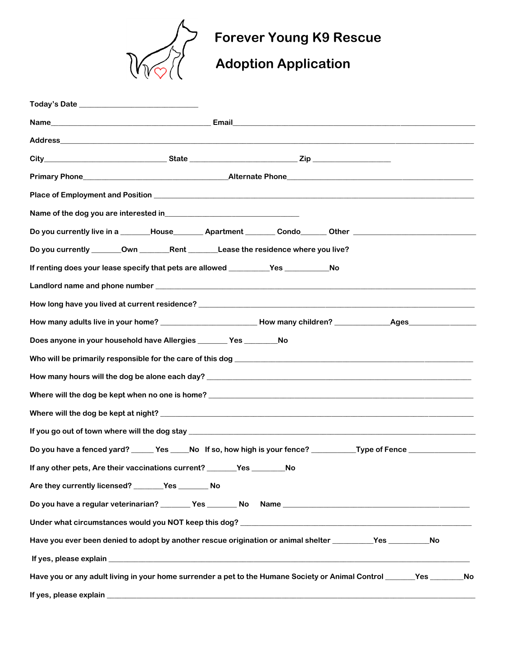

## **Forever Young K9 Rescue**

## **Adoption Application**

| Name of the dog you are interested in<br><u>Name</u> of the dog you are interested in                                                                                                                                                |
|--------------------------------------------------------------------------------------------------------------------------------------------------------------------------------------------------------------------------------------|
| Do you currently live in a _______House_________Apartment ________Condo_______Other _________________________                                                                                                                        |
| Do you currently ________Own ____________Rent ___________Lease the residence where you live?                                                                                                                                         |
| If renting does your lease specify that pets are allowed _______________________<br>No                                                                                                                                               |
|                                                                                                                                                                                                                                      |
|                                                                                                                                                                                                                                      |
|                                                                                                                                                                                                                                      |
| Does anyone in your household have Allergies ________ Yes ________ No                                                                                                                                                                |
| Who will be primarily responsible for the care of this dog <b>with the case of the contract of the case of the contract of the contract of the contract of the contract of the contract of the contract of the contract of the c</b> |
|                                                                                                                                                                                                                                      |
|                                                                                                                                                                                                                                      |
|                                                                                                                                                                                                                                      |
|                                                                                                                                                                                                                                      |
| Do you have a fenced yard? _____ Yes ____No lf so, how high is your fence? ________Type of Fence ____________                                                                                                                        |
| If any other pets, Are their vaccinations current? _______Yes ______<br>No                                                                                                                                                           |
| Are they currently licensed? _______Yes ________ No                                                                                                                                                                                  |
|                                                                                                                                                                                                                                      |
|                                                                                                                                                                                                                                      |
| Have you ever been denied to adopt by another rescue origination or animal shelter ___________Yes ____________<br><b>No</b>                                                                                                          |
|                                                                                                                                                                                                                                      |
| Have you or any adult living in your home surrender a pet to the Humane Society or Animal Control ______Yes _______No                                                                                                                |
|                                                                                                                                                                                                                                      |